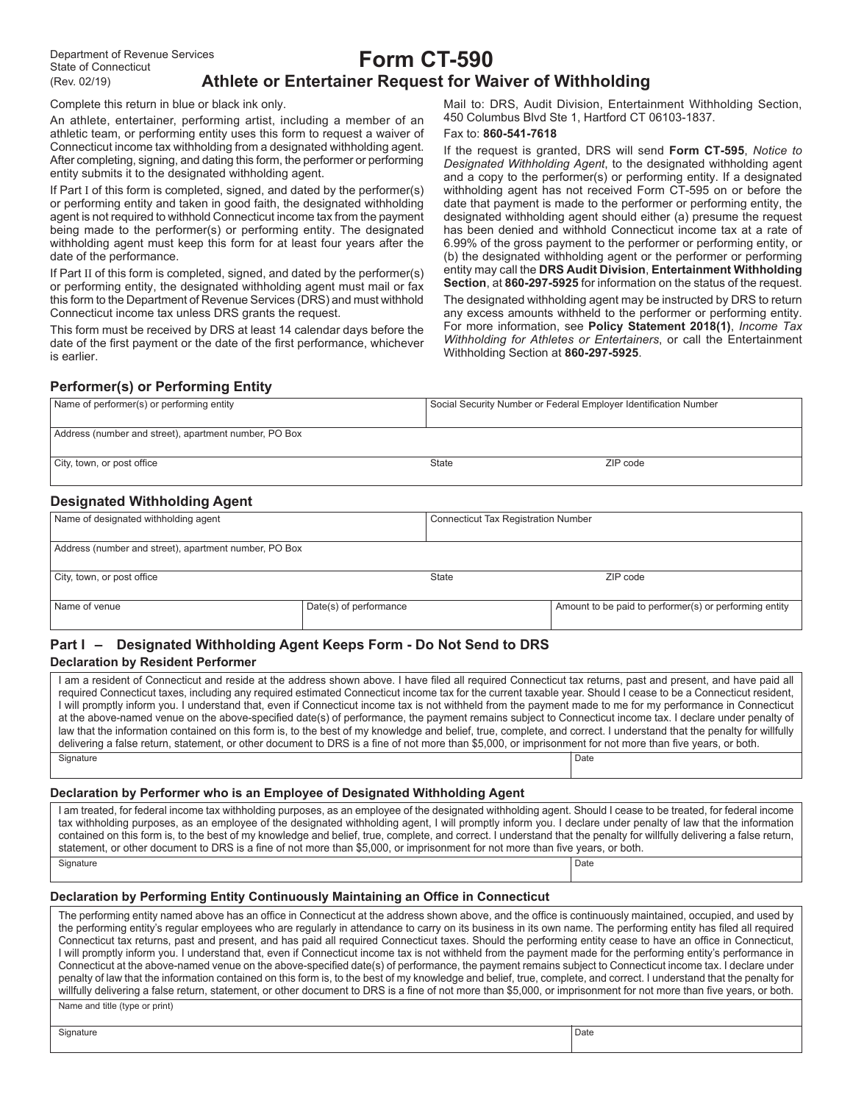# **Form CT-590 Athlete or Entertainer Request for Waiver of Withholding**

Complete this return in blue or black ink only.

An athlete, entertainer, performing artist, including a member of an athletic team, or performing entity uses this form to request a waiver of Connecticut income tax withholding from a designated withholding agent. After completing, signing, and dating this form, the performer or performing entity submits it to the designated withholding agent.

If Part I of this form is completed, signed, and dated by the performer(s) or performing entity and taken in good faith, the designated withholding agent is not required to withhold Connecticut income tax from the payment being made to the performer(s) or performing entity. The designated withholding agent must keep this form for at least four years after the date of the performance.

If Part II of this form is completed, signed, and dated by the performer(s) or performing entity, the designated withholding agent must mail or fax this form to the Department of Revenue Services (DRS) and must withhold Connecticut income tax unless DRS grants the request.

This form must be received by DRS at least 14 calendar days before the date of the first payment or the date of the first performance, whichever is earlier.

Mail to: DRS, Audit Division, Entertainment Withholding Section, 450 Columbus Blvd Ste 1, Hartford CT 06103-1837.

#### Fax to: **860-541-7618**

If the request is granted, DRS will send **Form CT-595**, *Notice to Designated Withholding Agent*, to the designated withholding agent and a copy to the performer(s) or performing entity. If a designated withholding agent has not received Form CT-595 on or before the date that payment is made to the performer or performing entity, the designated withholding agent should either (a) presume the request has been denied and withhold Connecticut income tax at a rate of 6.99% of the gross payment to the performer or performing entity, or (b) the designated withholding agent or the performer or performing entity may call the **DRS Audit Division**, **Entertainment Withholding Section**, at **860-297-5925** for information on the status of the request. The designated withholding agent may be instructed by DRS to return any excess amounts withheld to the performer or performing entity. For more information, see **Policy Statement 2018(1)**, *Income Tax Withholding for Athletes or Entertainers*, or call the Entertainment Withholding Section at **860-297-5925**.

## **Performer(s) or Performing Entity**

| Name of performer(s) or performing entity             | Social Security Number or Federal Employer Identification Number |          |
|-------------------------------------------------------|------------------------------------------------------------------|----------|
| Address (number and street), apartment number, PO Box |                                                                  |          |
| City, town, or post office                            | <b>State</b>                                                     | ZIP code |

## **Designated Withholding Agent**

| Name of designated withholding agent                  |                        | <b>Connecticut Tax Registration Number</b> |                                                        |  |
|-------------------------------------------------------|------------------------|--------------------------------------------|--------------------------------------------------------|--|
| Address (number and street), apartment number, PO Box |                        |                                            |                                                        |  |
| City, town, or post office                            |                        | State                                      | ZIP code                                               |  |
| Name of venue                                         | Date(s) of performance |                                            | Amount to be paid to performer(s) or performing entity |  |

# **Part I – Designated Withholding Agent Keeps Form - Do Not Send to DRS**

#### **Declaration by Resident Performer**

I am a resident of Connecticut and reside at the address shown above. I have filed all required Connecticut tax returns, past and present, and have paid all required Connecticut taxes, including any required estimated Connecticut income tax for the current taxable year. Should I cease to be a Connecticut resident, I will promptly inform you. I understand that, even if Connecticut income tax is not withheld from the payment made to me for my performance in Connecticut at the above-named venue on the above-specified date(s) of performance, the payment remains subject to Connecticut income tax. I declare under penalty of law that the information contained on this form is, to the best of my knowledge and belief, true, complete, and correct. I understand that the penalty for willfully delivering a false return, statement, or other document to DRS is a fine of not more than \$5,000, or imprisonment for not more than five years, or both. Signature **Date** 

#### **Declaration by Performer who is an Employee of Designated Withholding Agent**

I am treated, for federal income tax withholding purposes, as an employee of the designated withholding agent. Should I cease to be treated, for federal income tax withholding purposes, as an employee of the designated withholding agent, I will promptly inform you. I declare under penalty of law that the information contained on this form is, to the best of my knowledge and belief, true, complete, and correct. I understand that the penalty for willfully delivering a false return, statement, or other document to DRS is a fine of not more than \$5,000, or imprisonment for not more than five years, or both. Signature Date **Date of the Contract of Contract Contract of Contract Contract Contract Only and Date Only and Date of Contract Only and Date of Contract Only and Date of Contract Only and Date of Contract Only and Date of** 

#### **Declaration by Performing Entity Continuously Maintaining an Office in Connecticut**

The performing entity named above has an office in Connecticut at the address shown above, and the office is continuously maintained, occupied, and used by the performing entity's regular employees who are regularly in attendance to carry on its business in its own name. The performing entity has filed all required Connecticut tax returns, past and present, and has paid all required Connecticut taxes. Should the performing entity cease to have an office in Connecticut, I will promptly inform you. I understand that, even if Connecticut income tax is not withheld from the payment made for the performing entity's performance in Connecticut at the above-named venue on the above-specified date(s) of performance, the payment remains subject to Connecticut income tax. I declare under penalty of law that the information contained on this form is, to the best of my knowledge and belief, true, complete, and correct. I understand that the penalty for willfully delivering a false return, statement, or other document to DRS is a fine of not more than \$5,000, or imprisonment for not more than five years, or both.

Name and title (type or print)

Signature **Date**